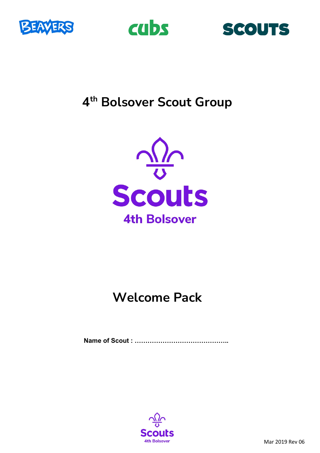





# **4th Bolsover Scout Group**



# **Welcome Pack**

**Name of Scout : ……………………………………..**

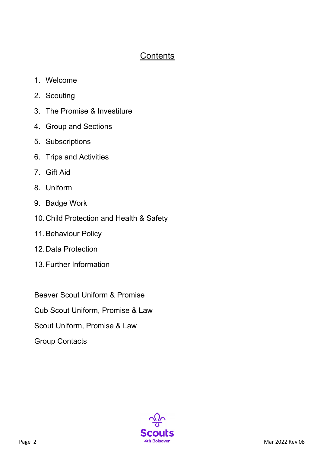# **Contents**

- 1. Welcome
- 2. Scouting
- 3. The Promise & Investiture
- 4. Group and Sections
- 5. Subscriptions
- 6. Trips and Activities
- 7. Gift Aid
- 8. Uniform
- 9. Badge Work
- 10.Child Protection and Health & Safety
- 11.Behaviour Policy
- 12.Data Protection
- 13.Further Information

Beaver Scout Uniform & Promise

Cub Scout Uniform, Promise & Law

Scout Uniform, Promise & Law

Group Contacts

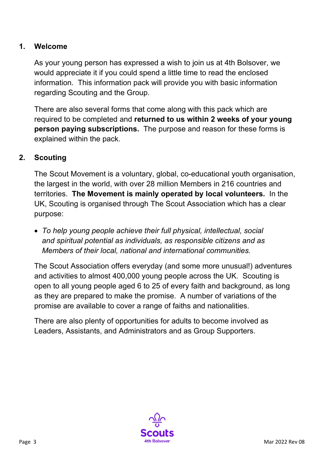### **1. Welcome**

As your young person has expressed a wish to join us at 4th Bolsover, we would appreciate it if you could spend a little time to read the enclosed information. This information pack will provide you with basic information regarding Scouting and the Group.

There are also several forms that come along with this pack which are required to be completed and **returned to us within 2 weeks of your young person paying subscriptions.** The purpose and reason for these forms is explained within the pack.

#### **2. Scouting**

The Scout Movement is a voluntary, global, co-educational youth organisation, the largest in the world, with over 28 million Members in 216 countries and territories. **The Movement is mainly operated by local volunteers.** In the UK, Scouting is organised through The Scout Association which has a clear purpose:

• *To help young people achieve their full physical, intellectual, social and spiritual potential as individuals, as responsible citizens and as Members of their local, national and international communities.* 

The Scout Association offers everyday (and some more unusual!) adventures and activities to almost 400,000 young people across the UK. Scouting is open to all young people aged 6 to 25 of every faith and background, as long as they are prepared to make the promise. A number of variations of the promise are available to cover a range of faiths and nationalities.

There are also plenty of opportunities for adults to become involved as Leaders, Assistants, and Administrators and as Group Supporters.

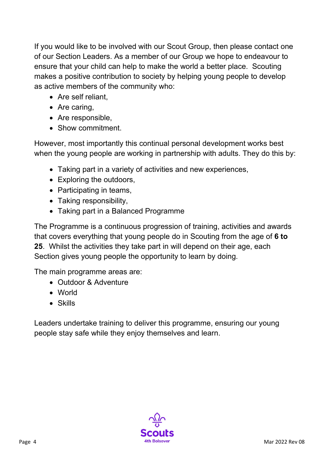If you would like to be involved with our Scout Group, then please contact one of our Section Leaders. As a member of our Group we hope to endeavour to ensure that your child can help to make the world a better place. Scouting makes a positive contribution to society by helping young people to develop as active members of the community who:

- Are self reliant,
- Are caring,
- Are responsible.
- Show commitment.

However, most importantly this continual personal development works best when the young people are working in partnership with adults. They do this by:

- Taking part in a variety of activities and new experiences,
- Exploring the outdoors,
- Participating in teams,
- Taking responsibility,
- Taking part in a Balanced Programme

The Programme is a continuous progression of training, activities and awards that covers everything that young people do in Scouting from the age of **6 to 25**. Whilst the activities they take part in will depend on their age, each Section gives young people the opportunity to learn by doing.

The main programme areas are:

- Outdoor & Adventure
- World
- Skills

Leaders undertake training to deliver this programme, ensuring our young people stay safe while they enjoy themselves and learn.

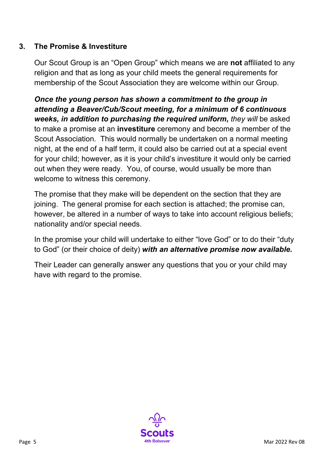## **3. The Promise & Investiture**

Our Scout Group is an "Open Group" which means we are **not** affiliated to any religion and that as long as your child meets the general requirements for membership of the Scout Association they are welcome within our Group.

*Once the young person has shown a commitment to the group in attending a Beaver/Cub/Scout meeting, for a minimum of 6 continuous weeks, in addition to purchasing the required uniform, they will* be asked to make a promise at an **investiture** ceremony and become a member of the Scout Association. This would normally be undertaken on a normal meeting night, at the end of a half term, it could also be carried out at a special event for your child; however, as it is your child's investiture it would only be carried out when they were ready. You, of course, would usually be more than welcome to witness this ceremony.

The promise that they make will be dependent on the section that they are joining. The general promise for each section is attached; the promise can, however, be altered in a number of ways to take into account religious beliefs; nationality and/or special needs.

In the promise your child will undertake to either "love God" or to do their "duty to God" (or their choice of deity) *with an alternative promise now available.*

Their Leader can generally answer any questions that you or your child may have with regard to the promise.

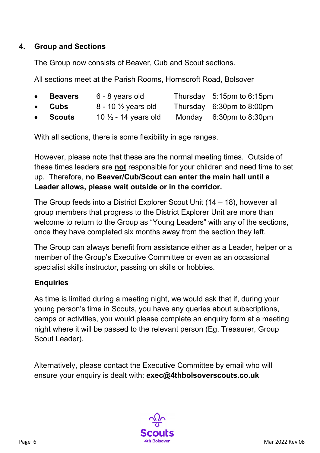### **4. Group and Sections**

The Group now consists of Beaver, Cub and Scout sections.

All sections meet at the Parish Rooms, Hornscroft Road, Bolsover

- **Beavers** 6 8 years old Thursday 5:15pm to 6:15pm
- **Cubs** 8 10 ½ years old Thursday 6:30pm to 8:00pm
- **Scouts** 10 ½ 14 years old Monday 6:30pm to 8:30pm

With all sections, there is some flexibility in age ranges.

However, please note that these are the normal meeting times. Outside of these times leaders are **not** responsible for your children and need time to set up. Therefore, **no Beaver/Cub/Scout can enter the main hall until a Leader allows, please wait outside or in the corridor.**

The Group feeds into a District Explorer Scout Unit (14 – 18), however all group members that progress to the District Explorer Unit are more than welcome to return to the Group as "Young Leaders" with any of the sections, once they have completed six months away from the section they left.

The Group can always benefit from assistance either as a Leader, helper or a member of the Group's Executive Committee or even as an occasional specialist skills instructor, passing on skills or hobbies.

# **Enquiries**

As time is limited during a meeting night, we would ask that if, during your young person's time in Scouts, you have any queries about subscriptions, camps or activities, you would please complete an enquiry form at a meeting night where it will be passed to the relevant person (Eg. Treasurer, Group Scout Leader).

Alternatively, please contact the Executive Committee by email who will ensure your enquiry is dealt with: **exec@4thbolsoverscouts.co.uk**

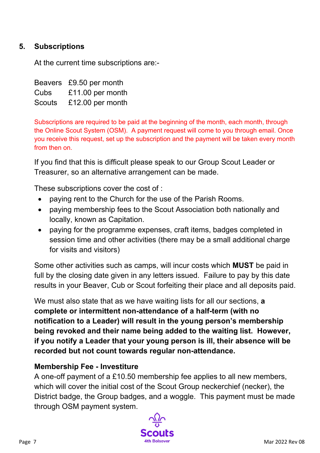## **5. Subscriptions**

At the current time subscriptions are:-

Beavers £9.50 per month Cubs £11.00 per month Scouts £12.00 per month

Subscriptions are required to be paid at the beginning of the month, each month, through the Online Scout System (OSM). A payment request will come to you through email. Once you receive this request, set up the subscription and the payment will be taken every month from then on.

If you find that this is difficult please speak to our Group Scout Leader or Treasurer, so an alternative arrangement can be made.

These subscriptions cover the cost of :

- paying rent to the Church for the use of the Parish Rooms.
- paying membership fees to the Scout Association both nationally and locally, known as Capitation.
- paying for the programme expenses, craft items, badges completed in session time and other activities (there may be a small additional charge for visits and visitors)

Some other activities such as camps, will incur costs which **MUST** be paid in full by the closing date given in any letters issued. Failure to pay by this date results in your Beaver, Cub or Scout forfeiting their place and all deposits paid.

We must also state that as we have waiting lists for all our sections, **a complete or intermittent non-attendance of a half-term (with no notification to a Leader) will result in the young person's membership being revoked and their name being added to the waiting list. However, if you notify a Leader that your young person is ill, their absence will be recorded but not count towards regular non-attendance.**

#### **Membership Fee - Investiture**

A one-off payment of a £10.50 membership fee applies to all new members, which will cover the initial cost of the Scout Group neckerchief (necker), the District badge, the Group badges, and a woggle. This payment must be made through OSM payment system.

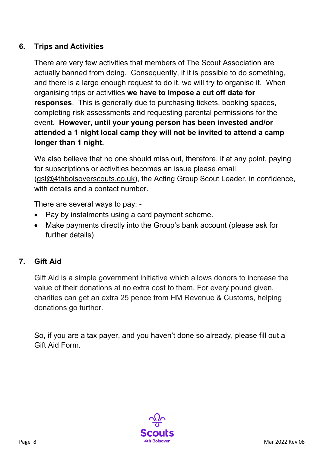## **6. Trips and Activities**

There are very few activities that members of The Scout Association are actually banned from doing. Consequently, if it is possible to do something, and there is a large enough request to do it, we will try to organise it. When organising trips or activities **we have to impose a cut off date for responses**. This is generally due to purchasing tickets, booking spaces, completing risk assessments and requesting parental permissions for the event. **However, until your young person has been invested and/or attended a 1 night local camp they will not be invited to attend a camp longer than 1 night.**

We also believe that no one should miss out, therefore, if at any point, paying for subscriptions or activities becomes an issue please email [\(gsl@4thbolsoverscouts.co.uk\)](mailto:gsl@4thbolsoverscouts.co.uk), the Acting Group Scout Leader, in confidence, with details and a contact number.

There are several ways to pay: -

- Pay by instalments using a card payment scheme.
- Make payments directly into the Group's bank account (please ask for further details)

# **7. Gift Aid**

Gift Aid is a simple government initiative which allows donors to increase the value of their donations at no extra cost to them. For every pound given, charities can get an extra 25 pence from HM Revenue & Customs, helping donations go further.

So, if you are a tax payer, and you haven't done so already, please fill out a Gift Aid Form.

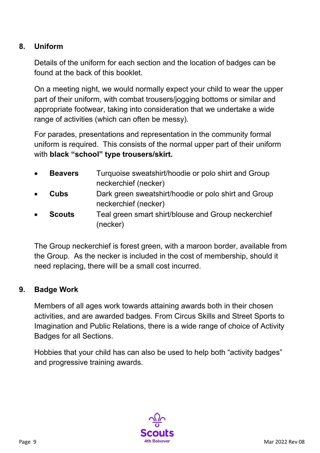## **8. Uniform**

Details of the uniform for each section and the location of badges can be found at the back of this booklet.

On a meeting night, we would normally expect your child to wear the upper part of their uniform, with combat trousers/jogging bottoms or similar and appropriate footwear, taking into consideration that we undertake a wide range of activities (which can often be messy).

For parades, presentations and representation in the community formal uniform is required. This consists of the normal upper part of their uniform with **black "school" type trousers/skirt.**

- **Beavers** Turquoise sweatshirt/hoodie or polo shirt and Group neckerchief (necker)
- **Cubs** Dark green sweatshirt/hoodie or polo shirt and Group neckerchief (necker)
- **Scouts** Teal green smart shirt/blouse and Group neckerchief (necker)

The Group neckerchief is forest green, with a maroon border, available from the Group. As the necker is included in the cost of membership, should it need replacing, there will be a small cost incurred.

#### **9. Badge Work**

Members of all ages work towards attaining awards both in their chosen activities, and are awarded badges. From Circus Skills and Street Sports to Imagination and Public Relations, there is a wide range of choice of Activity Badges for all Sections.

Hobbies that your child has can also be used to help both "activity badges" and progressive training awards.

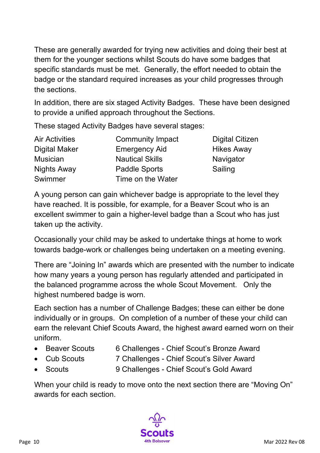These are generally awarded for trying new activities and doing their best at them for the younger sections whilst Scouts do have some badges that specific standards must be met. Generally, the effort needed to obtain the badge or the standard required increases as your child progresses through the sections.

In addition, there are six staged Activity Badges. These have been designed to provide a unified approach throughout the Sections.

These staged Activity Badges have several stages:

| <b>Air Activities</b> | <b>Community Impact</b> | <b>Digital Citizen</b> |
|-----------------------|-------------------------|------------------------|
| <b>Digital Maker</b>  | <b>Emergency Aid</b>    | <b>Hikes Away</b>      |
| <b>Musician</b>       | <b>Nautical Skills</b>  | Navigator              |
| <b>Nights Away</b>    | <b>Paddle Sports</b>    | Sailing                |
| Swimmer               | Time on the Water       |                        |

A young person can gain whichever badge is appropriate to the level they have reached. It is possible, for example, for a Beaver Scout who is an excellent swimmer to gain a higher-level badge than a Scout who has just taken up the activity.

Occasionally your child may be asked to undertake things at home to work towards badge-work or challenges being undertaken on a meeting evening.

There are "Joining In" awards which are presented with the number to indicate how many years a young person has regularly attended and participated in the balanced programme across the whole Scout Movement. Only the highest numbered badge is worn.

Each section has a number of Challenge Badges; these can either be done individually or in groups. On completion of a number of these your child can earn the relevant Chief Scouts Award, the highest award earned worn on their uniform.

- Beaver Scouts 6 Challenges Chief Scout's Bronze Award
- Cub Scouts 7 Challenges Chief Scout's Silver Award
- Scouts 9 Challenges Chief Scout's Gold Award

When your child is ready to move onto the next section there are "Moving On" awards for each section.

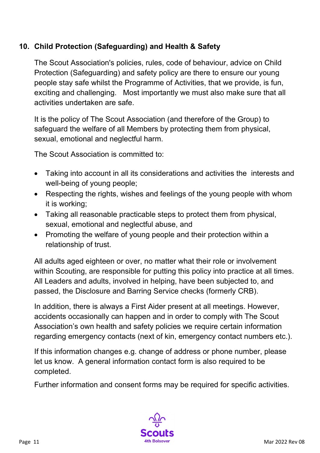## **10. Child Protection (Safeguarding) and Health & Safety**

The Scout Association's policies, rules, code of behaviour, advice on Child Protection (Safeguarding) and safety policy are there to ensure our young people stay safe whilst the Programme of Activities, that we provide, is fun, exciting and challenging. Most importantly we must also make sure that all activities undertaken are safe.

It is the policy of The Scout Association (and therefore of the Group) to safeguard the welfare of all Members by protecting them from physical, sexual, emotional and neglectful harm.

The Scout Association is committed to:

- Taking into account in all its considerations and activities the interests and well-being of young people;
- Respecting the rights, wishes and feelings of the young people with whom it is working;
- Taking all reasonable practicable steps to protect them from physical, sexual, emotional and neglectful abuse, and
- Promoting the welfare of young people and their protection within a relationship of trust.

All adults aged eighteen or over, no matter what their role or involvement within Scouting, are responsible for putting this policy into practice at all times. All Leaders and adults, involved in helping, have been subjected to, and passed, the Disclosure and Barring Service checks (formerly CRB).

In addition, there is always a First Aider present at all meetings. However, accidents occasionally can happen and in order to comply with The Scout Association's own health and safety policies we require certain information regarding emergency contacts (next of kin, emergency contact numbers etc.).

If this information changes e.g. change of address or phone number, please let us know. A general information contact form is also required to be completed.

Further information and consent forms may be required for specific activities.

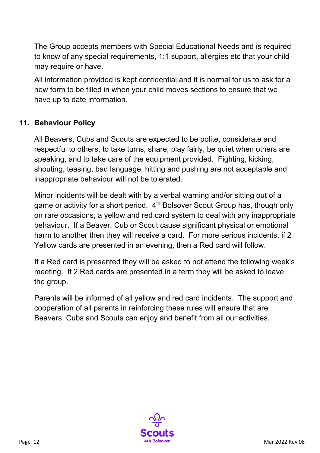The Group accepts members with Special Educational Needs and is required to know of any special requirements, 1:1 support, allergies etc that your child may require or have.

All information provided is kept confidential and it is normal for us to ask for a new form to be filled in when your child moves sections to ensure that we have up to date information.

### **11. Behaviour Policy**

All Beavers, Cubs and Scouts are expected to be polite, considerate and respectful to others, to take turns, share, play fairly, be quiet when others are speaking, and to take care of the equipment provided. Fighting, kicking, shouting, teasing, bad language, hitting and pushing are not acceptable and inappropriate behaviour will not be tolerated.

Minor incidents will be dealt with by a verbal warning and/or sitting out of a game or activity for a short period. 4<sup>th</sup> Bolsover Scout Group has, though only on rare occasions, a yellow and red card system to deal with any inappropriate behaviour. If a Beaver, Cub or Scout cause significant physical or emotional harm to another then they will receive a card. For more serious incidents, if 2 Yellow cards are presented in an evening, then a Red card will follow.

If a Red card is presented they will be asked to not attend the following week's meeting. If 2 Red cards are presented in a term they will be asked to leave the group.

Parents will be informed of all yellow and red card incidents. The support and cooperation of all parents in reinforcing these rules will ensure that are Beavers, Cubs and Scouts can enjoy and benefit from all our activities.

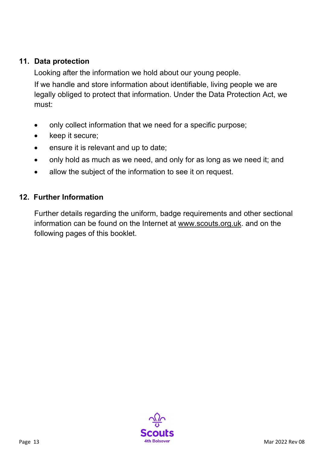#### **11. Data protection**

Looking after the information we hold about our young people.

If we handle and store information about identifiable, living people we are legally obliged to protect that information. Under the Data Protection Act, we must:

- only collect information that we need for a specific purpose;
- keep it secure;
- ensure it is relevant and up to date;
- only hold as much as we need, and only for as long as we need it; and
- allow the subject of the information to see it on request.

#### **12. Further Information**

Further details regarding the uniform, badge requirements and other sectional information can be found on the Internet at [www.scouts.org.uk.](http://www.scouts.org.uk/) and on the following pages of this booklet.

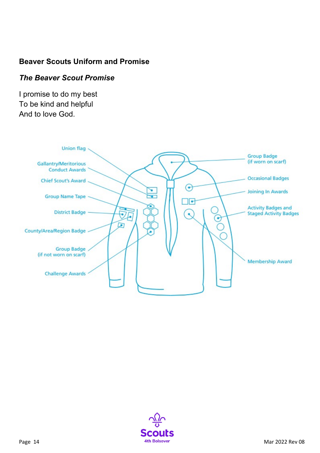## **Beaver Scouts Uniform and Promise**

#### *The Beaver Scout Promise*

I promise to do my best To be kind and helpful And to love God.



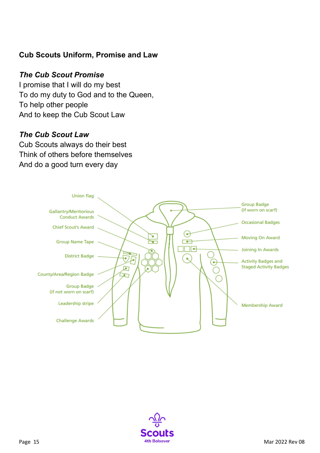### **Cub Scouts Uniform, Promise and Law**

#### *The Cub Scout Promise*

I promise that I will do my best To do my duty to God and to the Queen, To help other people And to keep the Cub Scout Law

#### *The Cub Scout Law*

Cub Scouts always do their best Think of others before themselves And do a good turn every day



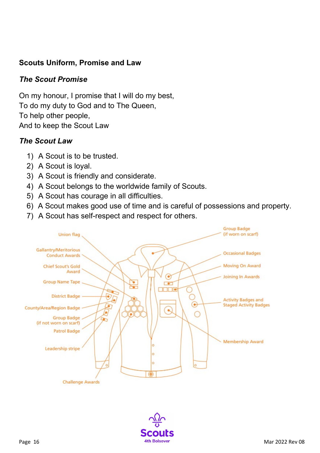## **Scouts Uniform, Promise and Law**

#### *The Scout Promise*

On my honour, I promise that I will do my best, To do my duty to God and to The Queen, To help other people, And to keep the Scout Law

#### *The Scout Law*

- 1) A Scout is to be trusted.
- 2) A Scout is loyal.
- 3) A Scout is friendly and considerate.
- 4) A Scout belongs to the worldwide family of Scouts.
- 5) A Scout has courage in all difficulties.
- 6) A Scout makes good use of time and is careful of possessions and property.
- 7) A Scout has self-respect and respect for others.